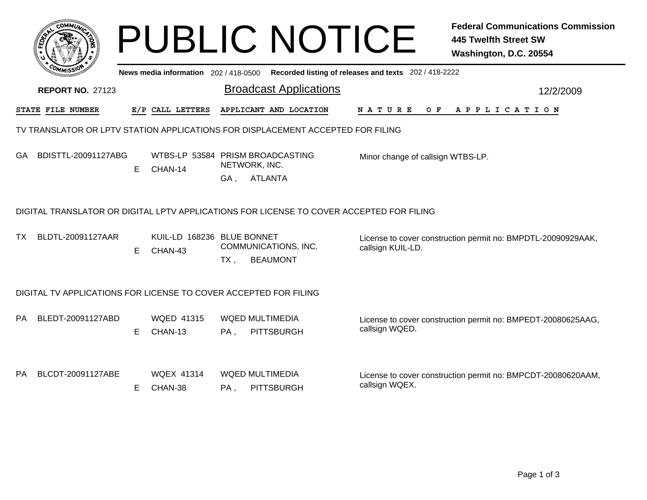|                                                                                          |                         |    |                                             |     | <b>PUBLIC NOTICE</b>                        |                                                       | <b>Federal Communications Commission</b><br>445 Twelfth Street SW<br>Washington, D.C. 20554 |  |  |  |  |  |  |
|------------------------------------------------------------------------------------------|-------------------------|----|---------------------------------------------|-----|---------------------------------------------|-------------------------------------------------------|---------------------------------------------------------------------------------------------|--|--|--|--|--|--|
|                                                                                          |                         |    | News media information 202/418-0500         |     |                                             | Recorded listing of releases and texts 202 / 418-2222 |                                                                                             |  |  |  |  |  |  |
|                                                                                          | <b>REPORT NO. 27123</b> |    |                                             |     | <b>Broadcast Applications</b>               |                                                       | 12/2/2009                                                                                   |  |  |  |  |  |  |
|                                                                                          | STATE FILE NUMBER       |    | E/P CALL LETTERS                            |     | APPLICANT AND LOCATION                      | N A T U R E<br>O F                                    | A P P L I C A T I O N                                                                       |  |  |  |  |  |  |
| TV TRANSLATOR OR LPTV STATION APPLICATIONS FOR DISPLACEMENT ACCEPTED FOR FILING          |                         |    |                                             |     |                                             |                                                       |                                                                                             |  |  |  |  |  |  |
| GA.                                                                                      | BDISTTL-20091127ABG     | E. | WTBS-LP 53584 PRISM BROADCASTING<br>CHAN-14 |     | NETWORK, INC.                               | Minor change of callsign WTBS-LP.                     |                                                                                             |  |  |  |  |  |  |
|                                                                                          |                         |    |                                             |     | GA, ATLANTA                                 |                                                       |                                                                                             |  |  |  |  |  |  |
| DIGITAL TRANSLATOR OR DIGITAL LPTV APPLICATIONS FOR LICENSE TO COVER ACCEPTED FOR FILING |                         |    |                                             |     |                                             |                                                       |                                                                                             |  |  |  |  |  |  |
| ТX                                                                                       | BLDTL-20091127AAR       | E. | KUIL-LD 168236 BLUE BONNET<br>CHAN-43       | TX. | COMMUNICATIONS, INC.<br><b>BEAUMONT</b>     | callsign KUIL-LD.                                     | License to cover construction permit no: BMPDTL-20090929AAK,                                |  |  |  |  |  |  |
| DIGITAL TV APPLICATIONS FOR LICENSE TO COVER ACCEPTED FOR FILING                         |                         |    |                                             |     |                                             |                                                       |                                                                                             |  |  |  |  |  |  |
| PA.                                                                                      | BLEDT-20091127ABD       | E. | <b>WQED 41315</b><br>CHAN-13                | PA, | <b>WQED MULTIMEDIA</b><br><b>PITTSBURGH</b> | callsign WQED.                                        | License to cover construction permit no: BMPEDT-20080625AAG,                                |  |  |  |  |  |  |
| PA.                                                                                      | BLCDT-20091127ABE       | E. | <b>WOEX 41314</b><br>CHAN-38                | PA, | <b>WQED MULTIMEDIA</b><br><b>PITTSBURGH</b> | callsign WQEX.                                        | License to cover construction permit no: BMPCDT-20080620AAM,                                |  |  |  |  |  |  |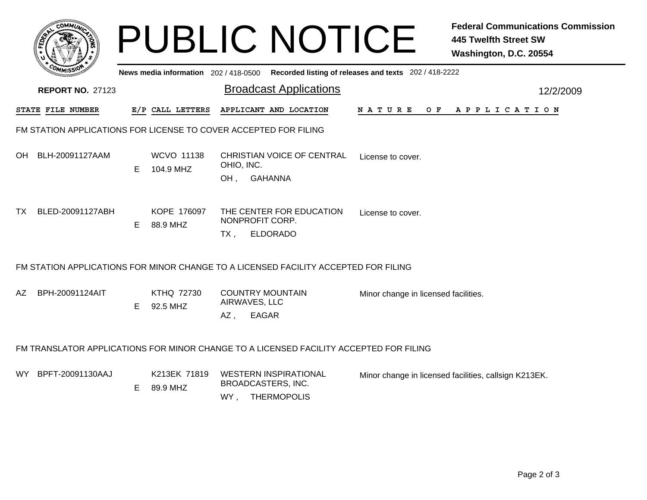|                                                                                         |                                                                                        |    |                          |                         | <b>PUBLIC NOTICE</b>                                                     |                                      | <b>Federal Communications Commission</b><br><b>445 Twelfth Street SW</b><br>Washington, D.C. 20554 |  |  |  |  |  |  |
|-----------------------------------------------------------------------------------------|----------------------------------------------------------------------------------------|----|--------------------------|-------------------------|--------------------------------------------------------------------------|--------------------------------------|----------------------------------------------------------------------------------------------------|--|--|--|--|--|--|
| News media information 202/418-0500 Recorded listing of releases and texts 202/418-2222 |                                                                                        |    |                          |                         |                                                                          |                                      |                                                                                                    |  |  |  |  |  |  |
|                                                                                         | <b>REPORT NO. 27123</b>                                                                |    |                          |                         | <b>Broadcast Applications</b>                                            |                                      | 12/2/2009                                                                                          |  |  |  |  |  |  |
|                                                                                         | STATE FILE NUMBER                                                                      |    | E/P CALL LETTERS         |                         | APPLICANT AND LOCATION                                                   | N A T U R E                          | O F<br>A P P L I C A T I O N                                                                       |  |  |  |  |  |  |
| FM STATION APPLICATIONS FOR LICENSE TO COVER ACCEPTED FOR FILING                        |                                                                                        |    |                          |                         |                                                                          |                                      |                                                                                                    |  |  |  |  |  |  |
| OH                                                                                      | BLH-20091127AAM                                                                        | E. | WCVO 11138<br>104.9 MHZ  | OHIO, INC.<br>OH,       | <b>CHRISTIAN VOICE OF CENTRAL</b><br><b>GAHANNA</b>                      | License to cover.                    |                                                                                                    |  |  |  |  |  |  |
| TX.                                                                                     | BLED-20091127ABH                                                                       | E. | KOPE 176097<br>88.9 MHZ  | $TX$ ,                  | THE CENTER FOR EDUCATION<br>NONPROFIT CORP.<br><b>ELDORADO</b>           | License to cover.                    |                                                                                                    |  |  |  |  |  |  |
| FM STATION APPLICATIONS FOR MINOR CHANGE TO A LICENSED FACILITY ACCEPTED FOR FILING     |                                                                                        |    |                          |                         |                                                                          |                                      |                                                                                                    |  |  |  |  |  |  |
| AZ.                                                                                     | BPH-20091124AIT                                                                        | E. | KTHQ 72730<br>92.5 MHZ   | AIRWAVES, LLC<br>$AZ$ , | <b>COUNTRY MOUNTAIN</b><br><b>EAGAR</b>                                  | Minor change in licensed facilities. |                                                                                                    |  |  |  |  |  |  |
|                                                                                         | FM TRANSLATOR APPLICATIONS FOR MINOR CHANGE TO A LICENSED FACILITY ACCEPTED FOR FILING |    |                          |                         |                                                                          |                                      |                                                                                                    |  |  |  |  |  |  |
| WY .                                                                                    | BPFT-20091130AAJ                                                                       | E. | K213EK 71819<br>89.9 MHZ | WY,                     | <b>WESTERN INSPIRATIONAL</b><br>BROADCASTERS, INC.<br><b>THERMOPOLIS</b> |                                      | Minor change in licensed facilities, callsign K213EK.                                              |  |  |  |  |  |  |